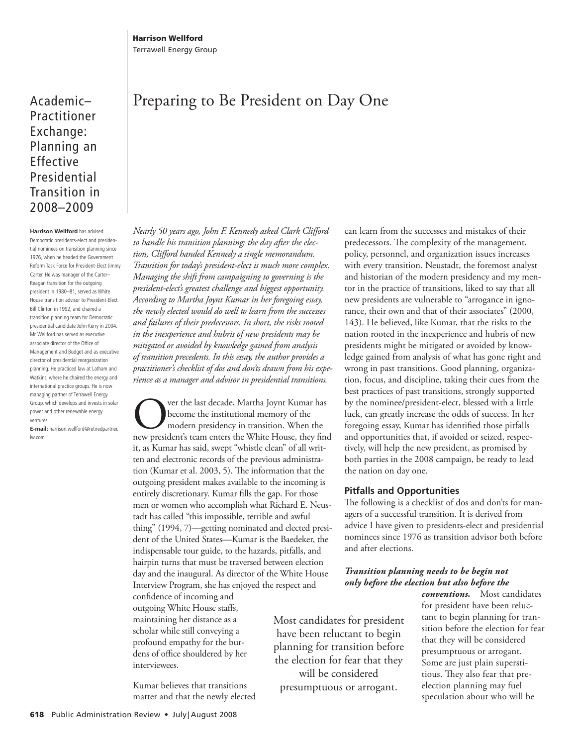Academic– Practitioner Exchange: Planning an Effective Presidential Transition in 2008–2009

**Harrison Wellford** has advised Democratic presidents-elect and presidential nominees on transition planning since 1976, when he headed the Government Reform Task Force for President-Elect Jimmy Carter. He was manager of the Carter- Reagan transition for the outgoing president in 1980-81, served as White House transition advisor to President-Elect Bill Clinton in 1992, and chaired a transition planning team for Democratic presidential candidate John Kerry in 2004. Mr. Wellford has served as executive associate director of the Office of Management and Budget and as executive director of presidential reorganization planning. He practiced law at Latham and Watkins, where he chaired the energy and international practice groups. He is now managing partner of Terrawell Energy Group, which develops and invests in solar power and other renewable energy ventures.

**E-mail:** harrison.wellford@retiredpartner. lw.com

# Preparing to Be President on Day One

*Nearly 50 years ago, John F. Kennedy asked Clark Clifford to handle his transition planning; the day after the elec*tion, Clifford handed Kennedy a single memorandum. *Transition for today's president-elect is much more complex. Managing the shift from campaigning to governing is the president-elect's greatest challenge and biggest opportunity. According to Martha Joynt Kumar in her foregoing essay, the newly elected would do well to learn from the successes and failures of their predecessors. In short, the risks rooted in the inexperience and hubris of new presidents may be mitigated or avoided by knowledge gained from analysis of transition precedents. In this essay, the author provides a practitioner's checklist of dos and don'ts drawn from his experience as a manager and advisor in presidential transitions.* 

**OVERTHE UNITE SERVIER IS ON THE USE OF SERVIER IS DECOM** the modern presidency in transition. When the new president's team enters the White House, they find become the institutional memory of the modern presidency in transition. When the it, as Kumar has said, swept "whistle clean" of all written and electronic records of the previous administration (Kumar et al. 2003, 5). The information that the outgoing president makes available to the incoming is entirely discretionary. Kumar fills the gap. For those men or women who accomplish what Richard E. Neustadt has called "this impossible, terrible and awful thing" (1994, 7)—getting nominated and elected president of the United States-Kumar is the Baedeker, the indispensable tour guide, to the hazards, pitfalls, and hairpin turns that must be traversed between election day and the inaugural. As director of the White House Interview Program, she has enjoyed the respect and

confidence of incoming and outgoing White House staffs, maintaining her distance as a scholar while still conveying a profound empathy for the burdens of office shouldered by her interviewees.

 Kumar believes that transitions matter and that the newly elected can learn from the successes and mistakes of their predecessors. The complexity of the management, policy, personnel, and organization issues increases with every transition. Neustadt, the foremost analyst and historian of the modern presidency and my mentor in the practice of transitions, liked to say that all new presidents are vulnerable to "arrogance in ignorance, their own and that of their associates" (2000, 143). He believed, like Kumar, that the risks to the nation rooted in the inexperience and hubris of new presidents might be mitigated or avoided by knowledge gained from analysis of what has gone right and wrong in past transitions. Good planning, organization, focus, and discipline, taking their cues from the best practices of past transitions, strongly supported by the nominee/president-elect, blessed with a little luck, can greatly increase the odds of success. In her foregoing essay, Kumar has identified those pitfalls and opportunities that, if avoided or seized, respectively, will help the new president, as promised by both parties in the 2008 campaign, be ready to lead the nation on day one.

# **Pitfalls and Opportunities**

The following is a checklist of dos and don'ts for managers of a successful transition. It is derived from advice I have given to presidents-elect and presidential nominees since 1976 as transition advisor both before and after elections.

# *Transition planning needs to be begin not only before the election but also before the*

 Most candidates for president have been reluctant to begin planning for transition before the election for fear that they will be considered presumptuous or arrogant.

*conventions.* Most candidates for president have been reluctant to begin planning for transition before the election for fear that they will be considered presumptuous or arrogant. Some are just plain superstitious. They also fear that preelection planning may fuel speculation about who will be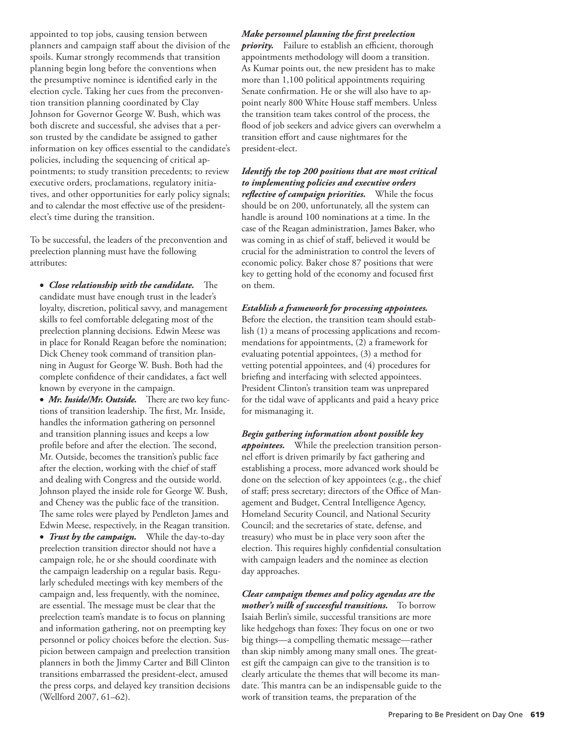appointed to top jobs, causing tension between planners and campaign staff about the division of the spoils. Kumar strongly recommends that transition planning begin long before the conventions when the presumptive nominee is identified early in the election cycle. Taking her cues from the preconvention transition planning coordinated by Clay Johnson for Governor George W. Bush, which was both discrete and successful, she advises that a person trusted by the candidate be assigned to gather information on key offices essential to the candidate's policies, including the sequencing of critical appointments; to study transition precedents; to review executive orders, proclamations, regulatory initiatives, and other opportunities for early policy signals; and to calendar the most effective use of the presidentelect's time during the transition.

 To be successful, the leaders of the preconvention and preelection planning must have the following attributes:

• *Close relationship with the candidate.* The candidate must have enough trust in the leader's loyalty, discretion, political savvy, and management skills to feel comfortable delegating most of the preelection planning decisions. Edwin Meese was in place for Ronald Reagan before the nomination; Dick Cheney took command of transition planning in August for George W. Bush. Both had the complete confidence of their candidates, a fact well known by everyone in the campaign.

• *Mr. Inside/Mr. Outside.* There are two key functions of transition leadership. The first, Mr. Inside, handles the information gathering on personnel and transition planning issues and keeps a low profile before and after the election. The second, Mr. Outside, becomes the transition's public face after the election, working with the chief of staff and dealing with Congress and the outside world. Johnson played the inside role for George W. Bush, and Cheney was the public face of the transition. The same roles were played by Pendleton James and Edwin Meese, respectively, in the Reagan transition. · *Trust by the campaign.* While the day-to-day preelection transition director should not have a campaign role, he or she should coordinate with the campaign leadership on a regular basis. Regularly scheduled meetings with key members of the campaign and, less frequently, with the nominee, are essential. The message must be clear that the preelection team's mandate is to focus on planning and information gathering, not on preempting key personnel or policy choices before the election. Suspicion between campaign and preelection transition planners in both the Jimmy Carter and Bill Clinton transitions embarrassed the president-elect, amused

the press corps, and delayed key transition decisions

(Wellford 2007, 61-62).

## *Make personnel planning the fi rst preelection*

*priority*. Failure to establish an efficient, thorough appointments methodology will doom a transition. As Kumar points out, the new president has to make more than 1,100 political appointments requiring Senate confirmation. He or she will also have to appoint nearly 800 White House staff members. Unless the transition team takes control of the process, the flood of job seekers and advice givers can overwhelm a transition effort and cause nightmares for the president-elect.

*Identify the top 200 positions that are most critical to implementing policies and executive orders*  reflective of campaign priorities. While the focus should be on 200, unfortunately, all the system can handle is around 100 nominations at a time. In the case of the Reagan administration, James Baker, who was coming in as chief of staff, believed it would be crucial for the administration to control the levers of economic policy. Baker chose 87 positions that were key to getting hold of the economy and focused first on them.

### *Establish a framework for processing appointees.*

Before the election, the transition team should establish (1) a means of processing applications and recommendations for appointments, (2) a framework for evaluating potential appointees, (3) a method for vetting potential appointees, and (4) procedures for briefing and interfacing with selected appointees. President Clinton's transition team was unprepared for the tidal wave of applicants and paid a heavy price for mismanaging it.

*Begin gathering information about possible key appointees.* While the preelection transition personnel effort is driven primarily by fact gathering and establishing a process, more advanced work should be done on the selection of key appointees (e.g., the chief of staff; press secretary; directors of the Office of Management and Budget, Central Intelligence Agency, Homeland Security Council, and National Security Council; and the secretaries of state, defense, and treasury) who must be in place very soon after the election. This requires highly confidential consultation with campaign leaders and the nominee as election day approaches.

*Clear campaign themes and policy agendas are the mother's milk of successful transitions.* To borrow Isaiah Berlin's simile, successful transitions are more like hedgehogs than foxes: They focus on one or two big things-a compelling thematic message-rather than skip nimbly among many small ones. The greatest gift the campaign can give to the transition is to clearly articulate the themes that will become its mandate. This mantra can be an indispensable guide to the work of transition teams, the preparation of the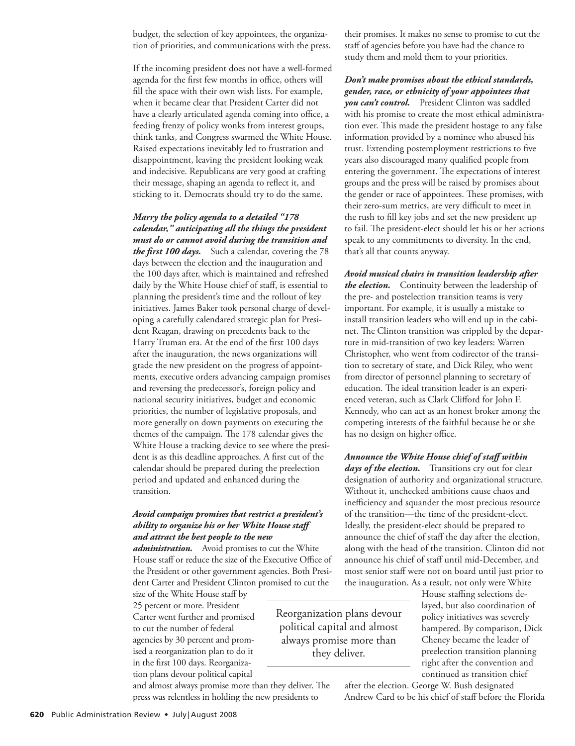budget, the selection of key appointees, the organization of priorities, and communications with the press.

 If the incoming president does not have a well-formed agenda for the first few months in office, others will fill the space with their own wish lists. For example, when it became clear that President Carter did not have a clearly articulated agenda coming into office, a feeding frenzy of policy wonks from interest groups, think tanks, and Congress swarmed the White House. Raised expectations inevitably led to frustration and disappointment, leaving the president looking weak and indecisive. Republicans are very good at crafting their message, shaping an agenda to reflect it, and sticking to it. Democrats should try to do the same.

## *Marry the policy agenda to a detailed "178 calendar," anticipating all the things the president must do or cannot avoid during the transition and the first 100 days.* Such a calendar, covering the 78

days between the election and the inauguration and the 100 days after, which is maintained and refreshed daily by the White House chief of staff, is essential to planning the president's time and the rollout of key initiatives. James Baker took personal charge of developing a carefully calendared strategic plan for President Reagan, drawing on precedents back to the Harry Truman era. At the end of the first 100 days after the inauguration, the news organizations will grade the new president on the progress of appointments, executive orders advancing campaign promises and reversing the predecessor's, foreign policy and national security initiatives, budget and economic priorities, the number of legislative proposals, and more generally on down payments on executing the themes of the campaign. The 178 calendar gives the White House a tracking device to see where the president is as this deadline approaches. A first cut of the calendar should be prepared during the preelection period and updated and enhanced during the transition.

## *Avoid campaign promises that restrict a president's ability to organize his or her White House staff and attract the best people to the new*

*administration.* Avoid promises to cut the White House staff or reduce the size of the Executive Office of the President or other government agencies. Both President Carter and President Clinton promised to cut the

size of the White House staff by 25 percent or more. President Carter went further and promised to cut the number of federal agencies by 30 percent and promised a reorganization plan to do it in the first 100 days. Reorganization plans devour political capital

their promises. It makes no sense to promise to cut the staff of agencies before you have had the chance to study them and mold them to your priorities.

*Don't make promises about the ethical standards, gender, race, or ethnicity of your appointees that you can't control.* President Clinton was saddled with his promise to create the most ethical administration ever. This made the president hostage to any false information provided by a nominee who abused his trust. Extending postemployment restrictions to five years also discouraged many qualified people from entering the government. The expectations of interest groups and the press will be raised by promises about the gender or race of appointees. These promises, with their zero-sum metrics, are very difficult to meet in the rush to fill key jobs and set the new president up to fail. The president-elect should let his or her actions speak to any commitments to diversity. In the end, that's all that counts anyway.

*Avoid musical chairs in transition leadership after the election.* Continuity between the leadership of the pre- and postelection transition teams is very important. For example, it is usually a mistake to install transition leaders who will end up in the cabinet. The Clinton transition was crippled by the departure in mid-transition of two key leaders: Warren Christopher, who went from codirector of the transition to secretary of state, and Dick Riley, who went from director of personnel planning to secretary of education. The ideal transition leader is an experienced veteran, such as Clark Clifford for John F. Kennedy, who can act as an honest broker among the competing interests of the faithful because he or she has no design on higher office.

*Announce the White House chief of staff within*  days of the election. Transitions cry out for clear designation of authority and organizational structure. Without it, unchecked ambitions cause chaos and inefficiency and squander the most precious resource of the transition — the time of the president-elect. Ideally, the president-elect should be prepared to announce the chief of staff the day after the election, along with the head of the transition. Clinton did not announce his chief of staff until mid-December, and most senior staff were not on board until just prior to the inauguration. As a result, not only were White

 Reorganization plans devour political capital and almost always promise more than they deliver.

House staffing selections delayed, but also coordination of policy initiatives was severely hampered. By comparison, Dick Cheney became the leader of preelection transition planning right after the convention and continued as transition chief

and almost always promise more than they deliver. The press was relentless in holding the new presidents to

after the election. George W. Bush designated Andrew Card to be his chief of staff before the Florida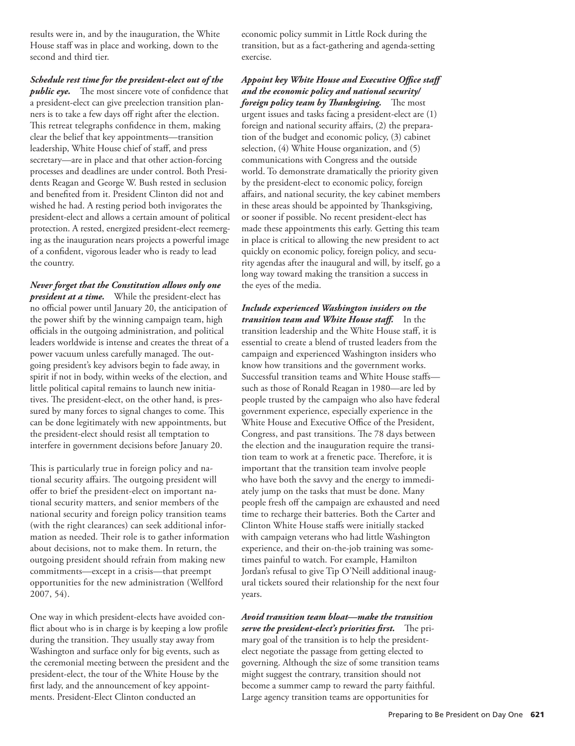results were in, and by the inauguration, the White House staff was in place and working, down to the second and third tier.

*Schedule rest time for the president-elect out of the public eye.* The most sincere vote of confidence that a president-elect can give preelection transition planners is to take a few days off right after the election. This retreat telegraphs confidence in them, making clear the belief that key appointments-transition leadership, White House chief of staff, and press secretary-are in place and that other action-forcing processes and deadlines are under control. Both Presidents Reagan and George W. Bush rested in seclusion and benefited from it. President Clinton did not and wished he had. A resting period both invigorates the president-elect and allows a certain amount of political protection. A rested, energized president-elect reemerging as the inauguration nears projects a powerful image of a confident, vigorous leader who is ready to lead the country.

*Never forget that the Constitution allows only one president at a time.* While the president-elect has no official power until January 20, the anticipation of the power shift by the winning campaign team, high officials in the outgoing administration, and political leaders worldwide is intense and creates the threat of a power vacuum unless carefully managed. The outgoing president's key advisors begin to fade away, in spirit if not in body, within weeks of the election, and little political capital remains to launch new initiatives. The president-elect, on the other hand, is pressured by many forces to signal changes to come. This can be done legitimately with new appointments, but the president-elect should resist all temptation to interfere in government decisions before January 20.

This is particularly true in foreign policy and national security affairs. The outgoing president will offer to brief the president-elect on important national security matters, and senior members of the national security and foreign policy transition teams (with the right clearances) can seek additional information as needed. Their role is to gather information about decisions, not to make them. In return, the outgoing president should refrain from making new commitments—except in a crisis—that preempt opportunities for the new administration ( Wellford 2007, 54).

 One way in which president-elects have avoided conflict about who is in charge is by keeping a low profile during the transition. They usually stay away from Washington and surface only for big events, such as the ceremonial meeting between the president and the president-elect, the tour of the White House by the first lady, and the announcement of key appointments. President-Elect Clinton conducted an

economic policy summit in Little Rock during the transition, but as a fact-gathering and agenda-setting exercise.

# **Appoint key White House and Executive Office staff** *and the economic policy and national security/ foreign policy team by Thanksgiving.* The most

urgent issues and tasks facing a president-elect are (1) foreign and national security affairs, (2) the preparation of the budget and economic policy, (3) cabinet selection, (4) White House organization, and (5) communications with Congress and the outside world. To demonstrate dramatically the priority given by the president-elect to economic policy, foreign affairs, and national security, the key cabinet members in these areas should be appointed by Thanksgiving, or sooner if possible. No recent president-elect has made these appointments this early. Getting this team in place is critical to allowing the new president to act quickly on economic policy, foreign policy, and security agendas after the inaugural and will, by itself, go a long way toward making the transition a success in the eyes of the media.

*Include experienced Washington insiders on the transition team and White House staff.* In the transition leadership and the White House staff, it is essential to create a blend of trusted leaders from the campaign and experienced Washington insiders who know how transitions and the government works. Successful transition teams and White House staffssuch as those of Ronald Reagan in 1980-are led by people trusted by the campaign who also have federal government experience, especially experience in the White House and Executive Office of the President, Congress, and past transitions. The 78 days between the election and the inauguration require the transition team to work at a frenetic pace. Therefore, it is important that the transition team involve people who have both the savvy and the energy to immediately jump on the tasks that must be done. Many people fresh off the campaign are exhausted and need time to recharge their batteries. Both the Carter and Clinton White House staffs were initially stacked with campaign veterans who had little Washington experience, and their on-the-job training was sometimes painful to watch. For example, Hamilton Jordan's refusal to give Tip O'Neill additional inaugural tickets soured their relationship for the next four years.

*Avoid transition team bloat — make the transition*  serve the president-elect's priorities first. The primary goal of the transition is to help the presidentelect negotiate the passage from getting elected to governing. Although the size of some transition teams might suggest the contrary, transition should not become a summer camp to reward the party faithful. Large agency transition teams are opportunities for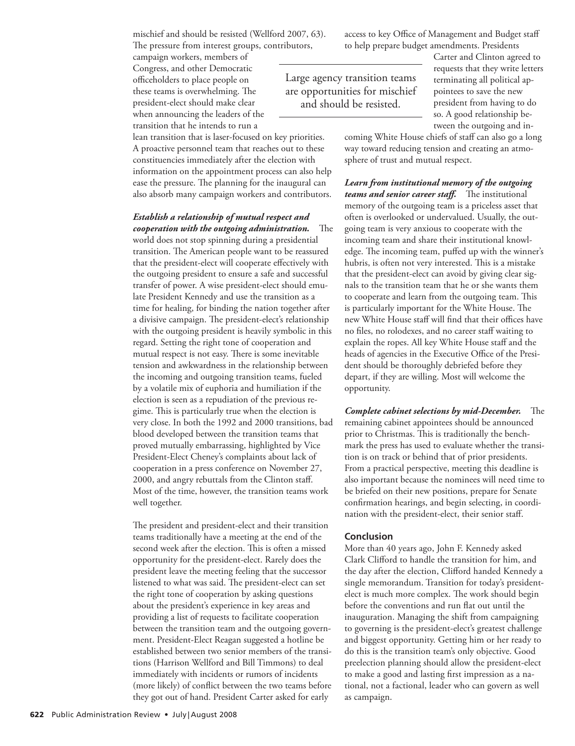mischief and should be resisted (Wellford 2007, 63). The pressure from interest groups, contributors,

campaign workers, members of Congress, and other Democratic officeholders to place people on these teams is overwhelming. The president-elect should make clear when announcing the leaders of the transition that he intends to run a

lean transition that is laser-focused on key priorities. A proactive personnel team that reaches out to these constituencies immediately after the election with information on the appointment process can also help ease the pressure. The planning for the inaugural can also absorb many campaign workers and contributors.

## *Establish a relationship of mutual respect and cooperation with the outgoing administration.* The

world does not stop spinning during a presidential transition. The American people want to be reassured that the president-elect will cooperate effectively with the outgoing president to ensure a safe and successful transfer of power. A wise president-elect should emulate President Kennedy and use the transition as a time for healing, for binding the nation together after a divisive campaign. The president-elect's relationship with the outgoing president is heavily symbolic in this regard. Setting the right tone of cooperation and mutual respect is not easy. There is some inevitable tension and awkwardness in the relationship between the incoming and outgoing transition teams, fueled by a volatile mix of euphoria and humiliation if the election is seen as a repudiation of the previous regime. This is particularly true when the election is very close. In both the 1992 and 2000 transitions, bad blood developed between the transition teams that proved mutually embarrassing, highlighted by Vice President-Elect Cheney's complaints about lack of cooperation in a press conference on November 27, 2000, and angry rebuttals from the Clinton staff. Most of the time, however, the transition teams work well together.

The president and president-elect and their transition teams traditionally have a meeting at the end of the second week after the election. This is often a missed opportunity for the president-elect. Rarely does the president leave the meeting feeling that the successor listened to what was said. The president-elect can set the right tone of cooperation by asking questions about the president's experience in key areas and providing a list of requests to facilitate cooperation between the transition team and the outgoing government. President-Elect Reagan suggested a hotline be established between two senior members of the transitions (Harrison Wellford and Bill Timmons) to deal immediately with incidents or rumors of incidents (more likely) of conflict between the two teams before they got out of hand. President Carter asked for early

access to key Office of Management and Budget staff to help prepare budget amendments. Presidents

 Large agency transition teams are opportunities for mischief and should be resisted.

Carter and Clinton agreed to requests that they write letters terminating all political appointees to save the new president from having to do so. A good relationship between the outgoing and in-

coming White House chiefs of staff can also go a long way toward reducing tension and creating an atmosphere of trust and mutual respect.

*Learn from institutional memory of the outgoing teams and senior career staff.* The institutional memory of the outgoing team is a priceless asset that often is overlooked or undervalued. Usually, the outgoing team is very anxious to cooperate with the incoming team and share their institutional knowledge. The incoming team, puffed up with the winner's hubris, is often not very interested. This is a mistake that the president-elect can avoid by giving clear signals to the transition team that he or she wants them to cooperate and learn from the outgoing team. This is particularly important for the White House. The new White House staff will find that their offices have no files, no rolodexes, and no career staff waiting to explain the ropes. All key White House staff and the heads of agencies in the Executive Office of the President should be thoroughly debriefed before they depart, if they are willing. Most will welcome the opportunity.

*Complete cabinet selections by mid-December.* The remaining cabinet appointees should be announced prior to Christmas. This is traditionally the benchmark the press has used to evaluate whether the transition is on track or behind that of prior presidents. From a practical perspective, meeting this deadline is also important because the nominees will need time to be briefed on their new positions, prepare for Senate confirmation hearings, and begin selecting, in coordination with the president-elect, their senior staff.

### **Conclusion**

 More than 40 years ago, John F. Kennedy asked Clark Clifford to handle the transition for him, and the day after the election, Clifford handed Kennedy a single memorandum. Transition for today's presidentelect is much more complex. The work should begin before the conventions and run flat out until the inauguration. Managing the shift from campaigning to governing is the president-elect's greatest challenge and biggest opportunity. Getting him or her ready to do this is the transition team's only objective. Good preelection planning should allow the president-elect to make a good and lasting first impression as a national, not a factional, leader who can govern as well as campaign.